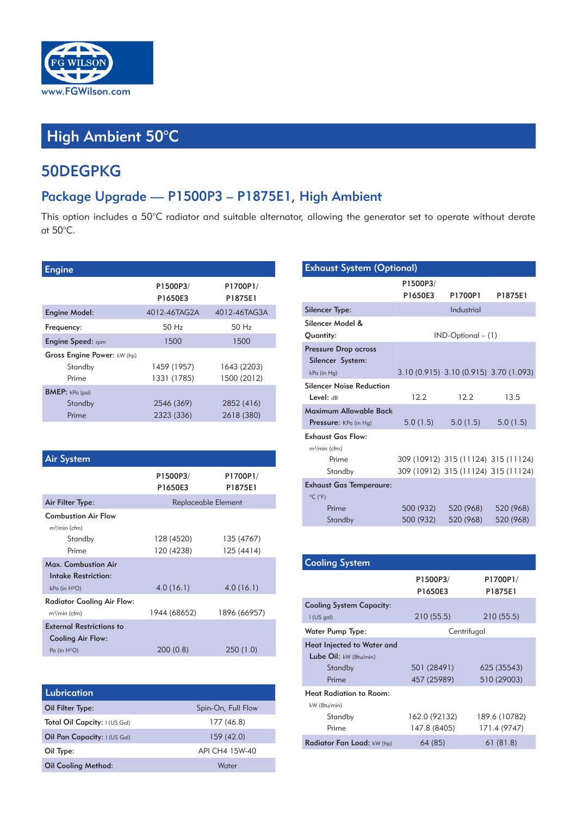

## High Ambient 50°C

## 50DEGPKG

## Package Upgrade — P1500P3 – P1875E1, High Ambient

This option includes a 50°C radiator and suitable alternator, allowing the generator set to operate without derate at 50°C.

| <b>Engine</b>               |                     |                     |
|-----------------------------|---------------------|---------------------|
|                             | P1500P3/<br>P1650E3 | P1700P1/<br>P1875E1 |
| <b>Engine Model:</b>        | 4012-46TAG2A        | 4012-46TAG3A        |
| Frequency:                  | 50 H <sub>z</sub>   | 50H <sub>z</sub>    |
| <b>Engine Speed: rpm</b>    | 1500                | 1500                |
| Gross Engine Power: kW (hp) |                     |                     |
| Standby                     | 1459 (1957)         | 1643 (2203)         |
| Prime                       | 1331 (1785)         | 1500 (2012)         |
| <b>BMEP:</b> kPa (psi)      |                     |                     |
| Standby                     | 2546 (369)          | 2852 (416)          |
| Prime                       | 2323 (336)          | 2618 (380)          |

| <b>Air System</b>               |                     |                     |
|---------------------------------|---------------------|---------------------|
|                                 | P1500P3/<br>P1650E3 | P1700P1/<br>P1875E1 |
| Air Filter Type:                |                     | Replaceable Element |
| <b>Combustion Air Flow</b>      |                     |                     |
| $m^3/m$ in (cfm)                |                     |                     |
| Standby                         | 128 (4520)          | 135 (4767)          |
| Prime                           | 120 (4238)          | 125 (4414)          |
| Max. Combustion Air             |                     |                     |
| Intake Restriction:             |                     |                     |
| kPa (in H <sup>2</sup> O)       | 4.0(16.1)           | 4.0(16.1)           |
| Radiator Cooling Air Flow:      |                     |                     |
| m <sup>3</sup> /min (cfm)       | 1944 (68652)        | 1896 (66957)        |
| <b>External Restrictions to</b> |                     |                     |
| <b>Cooling Air Flow:</b>        |                     |                     |
| Pa (in H <sup>2</sup> O)        | 200(0.8)            | 250 (1.0)           |

| Lubrication                   |                    |
|-------------------------------|--------------------|
| Oil Filter Type:              | Spin-On, Full Flow |
| Total Oil Capcity: I (US Gal) | 177 (46.8)         |
| Oil Pan Capacity: I (US Gal)  | 159(42.0)          |
| Oil Type:                     | API CH4 15W-40     |
| <b>Oil Cooling Method:</b>    | Water              |

| <b>Exhaust System (Optional)</b>                       |                     |                                     |                                        |  |  |  |  |
|--------------------------------------------------------|---------------------|-------------------------------------|----------------------------------------|--|--|--|--|
|                                                        | P1500P3/<br>P1650E3 | P1700P1                             | P1875E1                                |  |  |  |  |
| <b>Silencer Type:</b>                                  |                     | Industrial                          |                                        |  |  |  |  |
| Silencer Model &<br>Quantity:                          |                     | $IND-Optional - (1)$                |                                        |  |  |  |  |
| <b>Pressure Drop across</b><br>Silencer System:        |                     |                                     |                                        |  |  |  |  |
| kPa (in Hg)                                            |                     |                                     | 3.10 (0.915) 3.10 (0.915) 3.70 (1.093) |  |  |  |  |
| <b>Silencer Noise Reduction</b><br>Level: dB           | 12.2                | 12.2                                | 13.5                                   |  |  |  |  |
| Maximum Allowable Back<br><b>Pressure:</b> KPa (in Hq) | 5.0(1.5)            | 5.0(1.5)                            | 5.0(1.5)                               |  |  |  |  |
| <b>Exhaust Gas Flow:</b>                               |                     |                                     |                                        |  |  |  |  |
| $m^3/m$ in (cfm)<br>Prime<br>Standby                   |                     | 309 (10912) 315 (11124) 315 (11124) | 309 (10912) 315 (11124) 315 (11124)    |  |  |  |  |
| <b>Exhaust Gas Temperaure:</b>                         |                     |                                     |                                        |  |  |  |  |
| $^{\circ}$ C ( $^{\circ}$ F)                           |                     |                                     |                                        |  |  |  |  |
| Prime                                                  | 500 (932)           | 520 (968)                           | 520 (968)                              |  |  |  |  |
| Standby                                                | 500 (932)           | 520 (968)                           | 520 (968)                              |  |  |  |  |

| <b>Cooling System</b>             |                     |                     |  |  |  |  |  |
|-----------------------------------|---------------------|---------------------|--|--|--|--|--|
|                                   | P1500P3/<br>P1650E3 | P1700P1/<br>P1875E1 |  |  |  |  |  |
| <b>Cooling System Capacity:</b>   |                     |                     |  |  |  |  |  |
| $I$ (US gal)                      | 210(55.5)           | 210 (55.5)          |  |  |  |  |  |
| Water Pump Type:                  | Centrifugal         |                     |  |  |  |  |  |
| Heat Injected to Water and        |                     |                     |  |  |  |  |  |
| Lube Oil: $kW$ (Btu/min)          |                     |                     |  |  |  |  |  |
| Standby                           | 501 (28491)         | 625 (35543)         |  |  |  |  |  |
| Prime                             | 457 (25989)         | 510 (29003)         |  |  |  |  |  |
| <b>Heat Radiation to Room:</b>    |                     |                     |  |  |  |  |  |
| kW (Btu/min)                      |                     |                     |  |  |  |  |  |
| Standby                           | 162.0 (92132)       | 189.6 (10782)       |  |  |  |  |  |
| Prime                             | 147.8 (8405)        | 171.4 (9747)        |  |  |  |  |  |
| <b>Radiator Fan Load:</b> kW (hp) | 64 (85)             | 61(81.8)            |  |  |  |  |  |